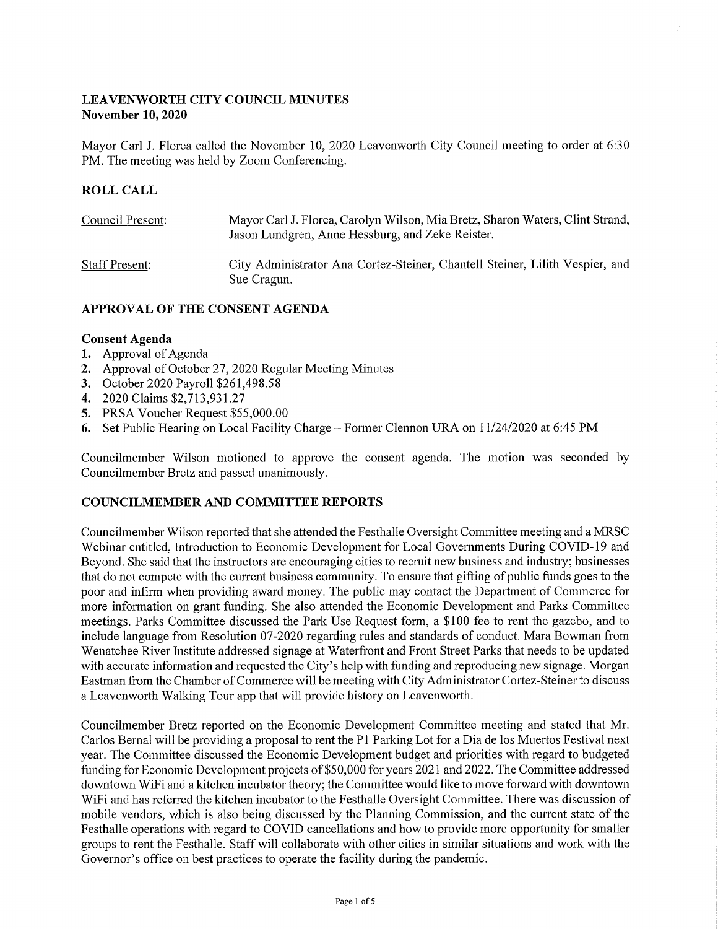### **LEAVENWORTH CITY COUNCIL MINUTES November 10, 2020**

Mayor Carl J. Florea called the November 10, 2020 Leavenworth City Council meeting to order at 6:30 PM. The meeting was held by Zoom Conferencing.

### **ROLL CALL**

| Council Present:      | Mayor Carl J. Florea, Carolyn Wilson, Mia Bretz, Sharon Waters, Clint Strand,<br>Jason Lundgren, Anne Hessburg, and Zeke Reister. |
|-----------------------|-----------------------------------------------------------------------------------------------------------------------------------|
| <b>Staff Present:</b> | City Administrator Ana Cortez-Steiner, Chantell Steiner, Lilith Vespier, and<br>Sue Cragun.                                       |

### **APPROVAL OF THE CONSENT AGENDA**

### **Consent Agenda**

- **1.** Approval of Agenda
- **2.** Approval of October 27, 2020 Regular Meeting Minutes
- **3.** October 2020 Payroll \$261,498.58
- **4.** 2020 Claims \$2,713,931.27
- **5.** PRSA Voucher Request \$55,000.00
- 6. Set Public Hearing on Local Facility Charge Former Clennon URA on 11/24/2020 at 6:45 PM

Councilmember Wilson motioned to approve the consent agenda. The motion was seconded by Councilmember Bretz and passed unanimously.

### **COUNCILMEMBER AND COMMITTEE REPORTS**

Councilmember Wilson reported that she attended the Festhalle Oversight Committee meeting and a MRSC Webinar entitled, Introduction to Economic Development for Local Governments During COVID-19 and Beyond. She said that the instructors are encouraging cities to recruit new business and industry; businesses that do not compete with the current business community. To ensure that gifting of public funds goes to the poor and infirm when providing award money. The public may contact the Department of Commerce for more information on grant funding. She also attended the Economic Development and Parks Committee meetings. Parks Committee discussed the Park Use Request form, a \$100 fee to rent the gazebo, and to include language from Resolution 07-2020 regarding rules and standards of conduct. Mara Bowman from Wenatchee River Institute addressed signage at Waterfront and Front Street Parks that needs to be updated with accurate information and requested the City's help with funding and reproducing new signage. Morgan Eastman from the Chamber of Commerce will be meeting with City Administrator Cortez-Steiner to discuss a Leavenworth Walking Tour app that will provide history on Leavenworth.

Councilmember Bretz reported on the Economic Development Committee meeting and stated that Mr. Carlos Bernal will be providing a proposal to rent the Pl Parking Lot for a Dia de los Muertos Festival next year. The Committee discussed the Economic Development budget and priorities with regard to budgeted funding for Economic Development projects of \$50,000 for years 2021 and 2022. The Committee addressed downtown WiFi and a kitchen incubator theory; the Committee would like to move forward with downtown WiFi and has referred the kitchen incubator to the Festhalle Oversight Committee. There was discussion of mobile vendors, which is also being discussed by the Planning Commission, and the current state of the Festhalle operations with regard to COVID cancellations and how to provide more opportunity for smaller groups to rent the Festhalle. Staff will collaborate with other cities in similar situations and work with the Governor's office on best practices to operate the facility during the pandemic.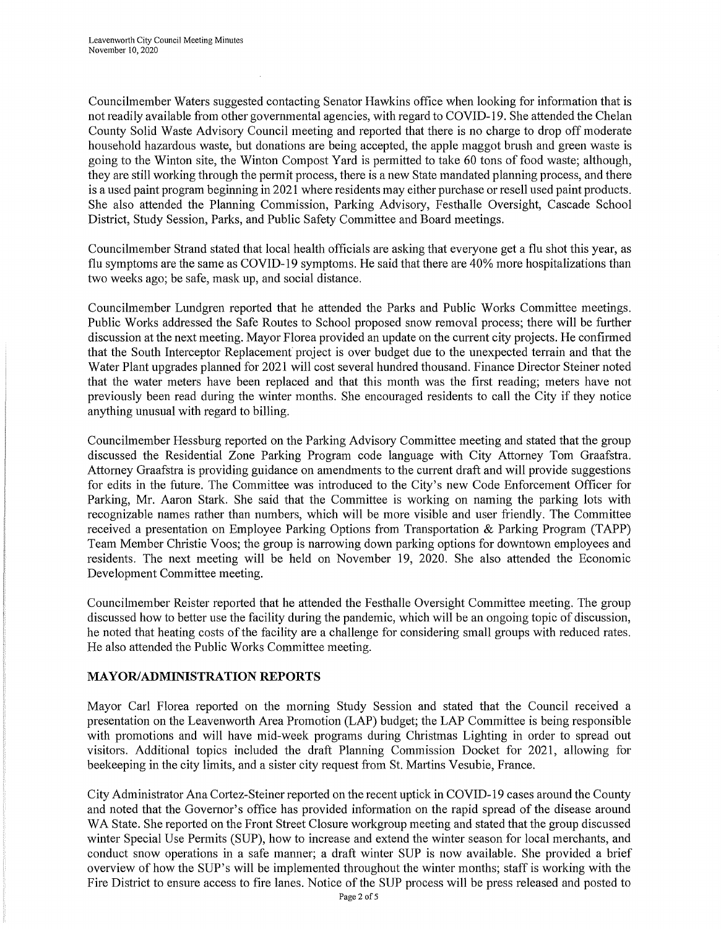Councilmember Waters suggested contacting Senator Hawkins office when looking for information that is not readily available from other governmental agencies, with regard to COVID-19. She attended the Chelan County Solid Waste Advisory Council meeting and reported that there is no charge to drop off moderate household hazardous waste, but donations are being accepted, the apple maggot brush and green waste is going to the Winton site, the Winton Compost Yard is permitted to take 60 tons of food waste; although, they are still working through the permit process, there is a new State mandated planning process, and there is a used paint program beginning in 2021 where residents may either purchase or resell used paint products. She also attended the Planning Commission, Parking Advisory, Festhalle Oversight, Cascade School District, Study Session, Parks, and Public Safety Committee and Board meetings.

Councilmember Strand stated that local health officials are asking that everyone get a flu shot this year, as flu symptoms are the same as COVID-19 symptoms. He said that there are 40% more hospitalizations than two weeks ago; be safe, mask up, and social distance.

Councilmember Lundgren reported that he attended the Parks and Public Works Committee meetings. Public Works addressed the Safe Routes to School proposed snow removal process; there will be further discussion at the next meeting. Mayor Florea provided an update on the current city projects. He confirmed that the South Interceptor Replacement project is over budget due to the unexpected terrain and that the Water Plant upgrades planned for 2021 will cost several hundred thousand. Finance Director Steiner noted that the water meters have been replaced and that this month was the first reading; meters have not previously been read during the winter months. She encouraged residents to call the City if they notice anything unusual with regard to billing.

Councilmember Hessburg reported on the Parking Advisory Committee meeting and stated that the group discussed the Residential Zone Parking Program code language with City Attorney Tom Graafstra. Attorney Graafstra is providing guidance on amendments to the current draft and will provide suggestions for edits in the future. The Committee was introduced to the City's new Code Enforcement Officer for Parking, Mr. Aaron Stark. She said that the Committee is working on naming the parking lots with recognizable names rather than numbers, which will be more visible and user friendly. The Committee received a presentation on Employee Parking Options from Transportation & Parking Program (TAPP) Team Member Christie Voos; the group is narrowing down parking options for downtown employees and residents. The next meeting will be held on November 19, 2020. She also attended the Economic Development Committee meeting.

Councilmember Reister reported that he attended the Festhalle Oversight Committee meeting. The group discussed how to better use the facility during the pandemic, which will be an ongoing topic of discussion, he noted that heating costs of the facility are a challenge for considering small groups with reduced rates. He also attended the Public Works Committee meeting.

# **MAYOR/ADMINISTRATION REPORTS**

Mayor Carl Florea reported on the morning Study Session and stated that the Council received a presentation on the Leavenworth Area Promotion (LAP) budget; the LAP Committee is being responsible with promotions and will have mid-week programs during Christmas Lighting in order to spread out visitors. Additional topics included the draft Planning Commission Docket for 2021, allowing for beekeeping in the city limits, and a sister city request from St. Martins Vesubie, France.

City Administrator Ana Cortez-Steiner reported on the recent uptick in COVID-19 cases around the County and noted that the Governor's office has provided information on the rapid spread of the disease around WA State. She reported on the Front Street Closure workgroup meeting and stated that the group discussed winter Special Use Permits (SUP), how to increase and extend the winter season for local merchants, and conduct snow operations in a safe manner; a draft winter SUP is now available. She provided a brief overview of how the SUP's will be implemented throughout the winter months; staff is working with the Fire District to ensure access to fire lanes. Notice of the SUP process will be press released and posted to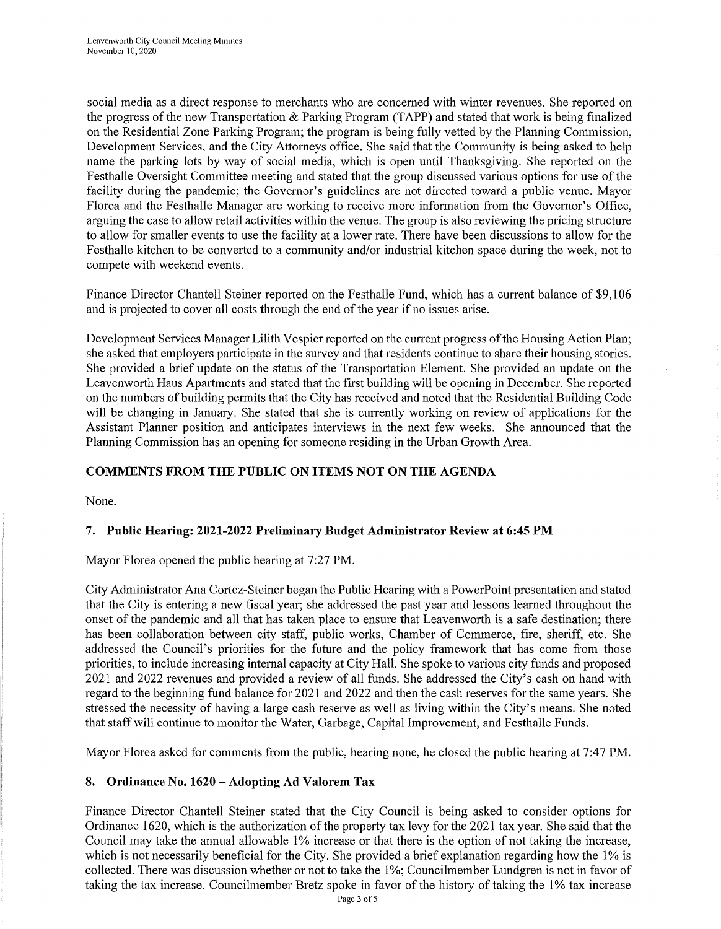social media as a direct response to merchants who are concerned with winter revenues. She reported on the progress of the new Transportation & Parking Program (TAPP) and stated that work is being finalized on the Residential Zone Parking Program; the program is being fully vetted by the Planning Commission, Development Services, and the City Attorneys office. She said that the Community is being asked to help name the parking lots by way of social media, which is open until Thanksgiving. She reported on the Festhalle Oversight Committee meeting and stated that the group discussed various options for use of the facility during the pandemic; the Governor's guidelines are not directed toward a public venue. Mayor Florea and the Festhalle Manager are working to receive more information from the Governor's Office, arguing the case to allow retail activities within the venue. The group is also reviewing the pricing structure to allow for smaller events to use the facility at a lower rate. There have been discussions to allow for the Festhalle kitchen to be converted to a community and/or industrial kitchen space during the week, not to compete with weekend events.

Finance Director Chantell Steiner reported on the Festhalle Fund, which has a current balance of \$9,106 and is projected to cover all costs through the end of the year if no issues arise.

Development Services Manager Lilith Vespier reported on the current progress of the Housing Action Plan; she asked that employers participate in the survey and that residents continue to share their housing stories. She provided a brief update on the status of the Transportation Element. She provided an update on the Leavenworth Haus Apartments and stated that the first building will be opening in December. She reported on the numbers of building permits that the City has received and noted that the Residential Building Code will be changing in January. She stated that she is currently working on review of applications for the Assistant Planner position and anticipates interviews in the next few weeks. She announced that the Planning Commission has an opening for someone residing in the Urban Growth Area.

# **COMMENTS FROM THE PUBLIC ON ITEMS NOT ON THE AGENDA**

None.

# **7. Public Hearing: 2021-2022 Preliminary Budget Administrator Review at 6:45 PM**

Mayor Florea opened the public hearing at 7:27 PM.

City Administrator Ana Cortez-Steiner began the Public Hearing with a PowerPoint presentation and stated that the City is entering a new fiscal year; she addressed the past year and lessons learned throughout the onset of the pandemic and all that has taken place to ensure that Leavenworth is a safe destination; there has been collaboration between city staff, public works, Chamber of Commerce, fire, sheriff, etc. She addressed the Council's priorities for the future and the policy framework that has come from those priorities, to include increasing internal capacity at City Hall. She spoke to various city funds and proposed 2021 and 2022 revenues and provided a review of all funds. She addressed the City's cash on hand with regard to the beginning fund balance for 2021 and 2022 and then the cash reserves for the same years. She stressed the necessity of having a large cash reserve as well as living within the City's means. She noted that staff will continue to monitor the Water, Garbage, Capital Improvement, and Festhalle Funds.

Mayor Florea asked for comments from the public, hearing none, he closed the public hearing at 7:47 PM.

### **8. Ordinance No. 1620 -Adopting Ad Valorem Tax**

Finance Director Chantell Steiner stated that the City Council is being asked to consider options for Ordinance 1620, which is the authorization of the property tax levy for the 2021 tax year. She said that the Council may take the annual allowable 1% increase or that there is the option of not taking the increase, which is not necessarily beneficial for the City. She provided a brief explanation regarding how the 1% is collected. There was discussion whether or not to take the 1 %; Councilmember Lundgren is not in favor of taking the tax increase. Councilmember Bretz spoke in favor of the history of taking the 1% tax increase Page 3 of 5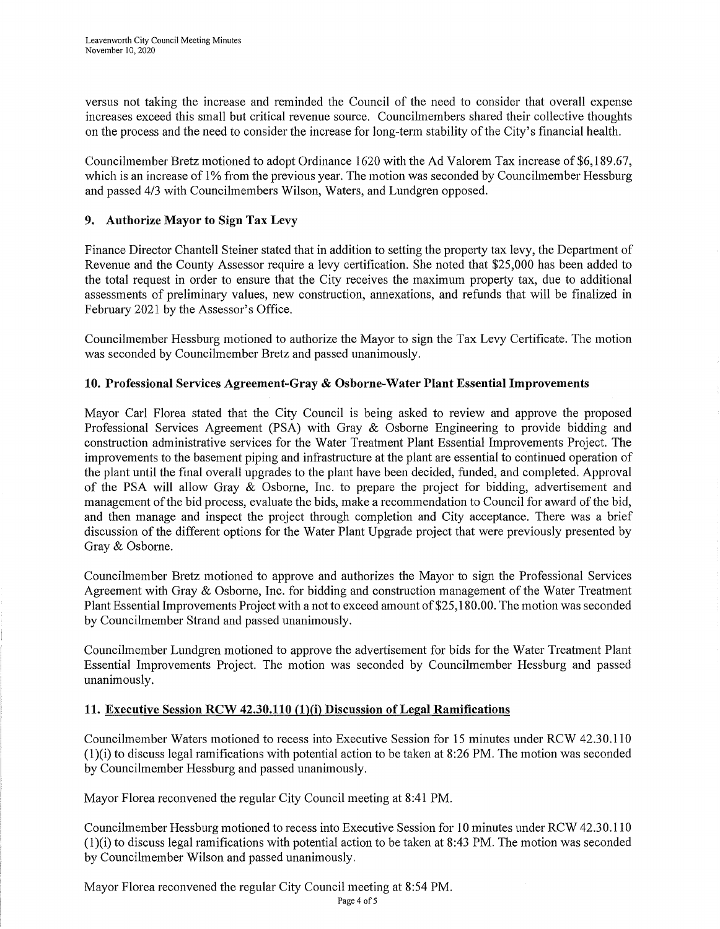versus not taking the increase and reminded the Council of the need to consider that overall expense increases exceed this small but critical revenue source. Councilmembers shared their collective thoughts on the process and the need to consider the increase for long-term stability of the City's financial health.

Councilmember Bretz motioned to adopt Ordinance 1620 with the Ad Valorem Tax increase of\$6,189.67, which is an increase of 1% from the previous year. The motion was seconded by Councilmember Hessburg and passed 4/3 with Councilmembers Wilson, Waters, and Lundgren opposed.

### **9. Authorize Mayor to Sign Tax Levy**

Finance Director Chantell Steiner stated that in addition to setting the property tax levy, the Department of Revenue and the County Assessor require a levy certification. She noted that \$25,000 has been added to the total request in order to ensure that the City receives the maximum property tax, due to additional assessments of preliminary values, new construction, annexations, and refunds that will be finalized in Februmy 2021 by the Assessor's Office.

Councilmember Hessburg motioned to authorize the Mayor to sign the Tax Levy Certificate. The motion was seconded by Councilmember Bretz and passed unanimously.

### **10. Professional Services Agreement-Gray & Osborne-Water Plant Essential Improvements**

Mayor Carl Florea stated that the City Council is being asked to review and approve the proposed Professional Services Agreement (PSA) with Gray & Osborne Engineering to provide bidding and construction administrative services for the Water Treatment Plant Essential Improvements Project. The improvements to the basement piping and infrastructure at the plant are essential to continued operation of the plant until the final overall upgrades to the plant have been decided, funded, and completed. Approval of the PSA will allow Gray & Osborne, Inc. to prepare the project for bidding, advertisement and management of the bid process, evaluate the bids, make a recommendation to Council for award of the bid, and then manage and inspect the project through completion and City acceptance. There was a brief discussion of the different options for the Water Plant Upgrade project that were previously presented by Gray & Osborne.

Councilmember Bretz motioned to approve and authorizes the Mayor to sign the Professional Services Agreement with Gray & Osborne, Inc. for bidding and construction management of the Water Treatment Plant Essential Improvements Project with a not to exceed amount of \$25, 180 .00. The motion was seconded by Councilmember Strand and passed unanimously.

Councilmember Lundgren motioned to approve the advertisement for bids for the Water Treatment Plant Essential Improvements Project. The motion was seconded by Councilmember Hessburg and passed unanimously.

### 11. Executive Session RCW 42.30.110 (1)(i) Discussion of Legal Ramifications

Councilmember Waters motioned to recess into Executive Session for 15 minutes under RCW 42.30.110  $(1)(i)$  to discuss legal ramifications with potential action to be taken at 8:26 PM. The motion was seconded by Councilmember Hessburg and passed unanimously.

Mayor Florea reconvened the regular City Council meeting at 8:41 PM.

Councilmember Hessburg motioned to recess into Executive Session for 10 minutes under RCW 42.30.110  $(1)(i)$  to discuss legal ramifications with potential action to be taken at 8:43 PM. The motion was seconded by Councilmember Wilson and passed unanimously.

Mayor Florea reconvened the regular City Council meeting at 8:54 PM.